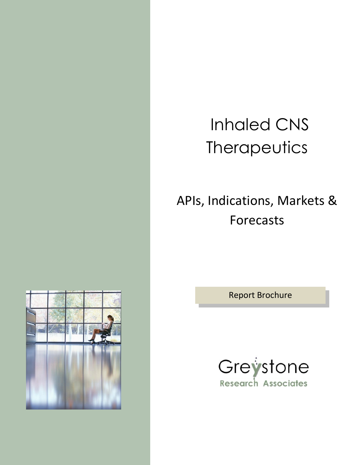# Inhaled CNS **Therapeutics**

## APIs, Indications, Markets & Forecasts

Report Brochure



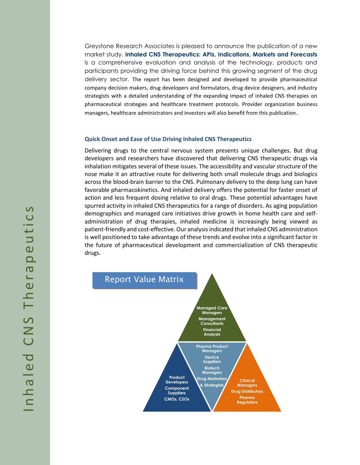Greystone Research Associates is pleased to announce the publication of a new market study. **Inhaled CNS Therapeutics: APIs, Indications, Markets and Forecasts** is a comprehensive evaluation and analysis of the technology, products and participants providing the driving force behind this growing segment of the drug delivery sector. The report has been designed and developed to provide pharmaceutical company decision makers, drug developers and formulators, drug device designers, and industry strategists with a detailed understanding of the expanding impact of inhaled CNS therapies on pharmaceutical strategies and healthcare treatment protocols. Provider organization business managers, healthcare administrators and investors will also benefit from this publication.

#### **Quick Onset and Ease of Use Driving Inhaled CNS Therapeutics**

Delivering drugs to the central nervous system presents unique challenges. But drug developers and researchers have discovered that delivering CNS therapeutic drugs via inhalation mitigates several of these issues. The accessibility and vascular structure of the nose make it an attractive route for delivering both small molecule drugs and biologics across the blood-brain barrier to the CNS. Pulmonary delivery to the deep lung can have favorable pharmacokinetics. And inhaled delivery offers the potential for faster onset of action and less frequent dosing relative to oral drugs. These potential advantages have spurred activity in inhaled CNS therapeutics for a range of disorders. As aging population demographics and managed care initiatives drive growth in home health care and selfadministration of drug therapies, inhaled medicine is increasingly being viewed as patient-friendly and cost-effective. Our analysis indicated that inhaled CNS administration is well positioned to take advantage of these trends and evolve into a significant factor in the future of pharmaceutical development and commercialization of CNS therapeutic drugs.

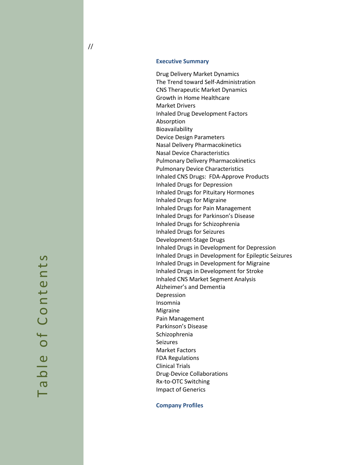Drug Delivery Market Dynamics The Trend toward Self -Administration CNS Therapeutic Market Dynamics Growth in Home Healthcare Market Drivers Inhaled Drug Development Factors Absorption Bioavailability Device Design Parameters Nasal Delivery Pharmacokinetics Nasal Device Characteristics Pulmonary Delivery Pharmacokinetics Pulmonary Device Characteristics Inhaled CNS Drugs: FDA -Approve Products Inhaled Drugs for Depression Inhaled Drugs for Pituitary Hormones Inhaled Drugs for Migraine Inhaled Drugs for Pain Management Inhaled Drugs for Parkinson's Disease Inhaled Drugs for Schizophrenia Inhaled Drugs for Seizures Development -Stage Drugs Inhaled Drugs in Development for Depression Inhaled Drugs in Development for Epileptic Seizures Inhaled Drugs in Development for Migraine Inhaled Drugs in Development for Stroke Inhaled CNS Market Segment Analysis Alzheimer's and Dementia Depression Insomnia Migraine Pain Management Parkinson's Disease Schizophrenia Seizures Market Factors FDA Regulations Clinical Trials Drug -Device Collaborations Rx -to -OTC Switching Impact of Generics

**Company Profiles**

 $\overline{S}$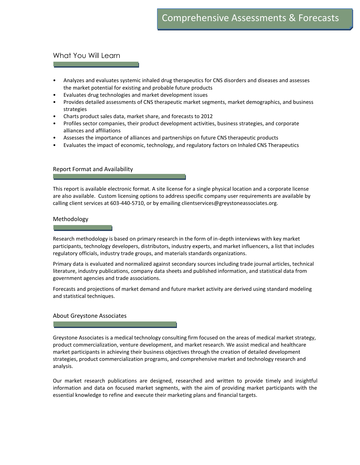#### What You Will Learn

- Analyzes and evaluates systemic inhaled drug therapeutics for CNS disorders and diseases and assesses the market potential for existing and probable future products
- Evaluates drug technologies and market development issues
- Provides detailed assessments of CNS therapeutic market segments, market demographics, and business strategies
- Charts product sales data, market share, and forecasts to 2012
- Profiles sector companies, their product development activities, business strategies, and corporate alliances and affiliations
- Assesses the importance of alliances and partnerships on future CNS therapeutic products
- Evaluates the impact of economic, technology, and regulatory factors on Inhaled CNS Therapeutics

#### Report Format and Availability

This report is available electronic format. A site license for a single physical location and a corporate license are also available. Custom licensing options to address specific company user requirements are available by calling client services at 603-440-5710, or by emailing clientservices@greystoneassociates.org.

#### Methodology

Research methodology is based on primary research in the form of in-depth interviews with key market participants, technology developers, distributors, industry experts, and market influencers, a list that includes regulatory officials, industry trade groups, and materials standards organizations.

Primary data is evaluated and normalized against secondary sources including trade journal articles, technical literature, industry publications, company data sheets and published information, and statistical data from government agencies and trade associations.

Forecasts and projections of market demand and future market activity are derived using standard modeling and statistical techniques.

#### About Greystone Associates

Greystone Associates is a medical technology consulting firm focused on the areas of medical market strategy, product commercialization, venture development, and market research. We assist medical and healthcare market participants in achieving their business objectives through the creation of detailed development strategies, product commercialization programs, and comprehensive market and technology research and analysis.

Our market research publications are designed, researched and written to provide timely and insightful information and data on focused market segments, with the aim of providing market participants with the essential knowledge to refine and execute their marketing plans and financial targets.